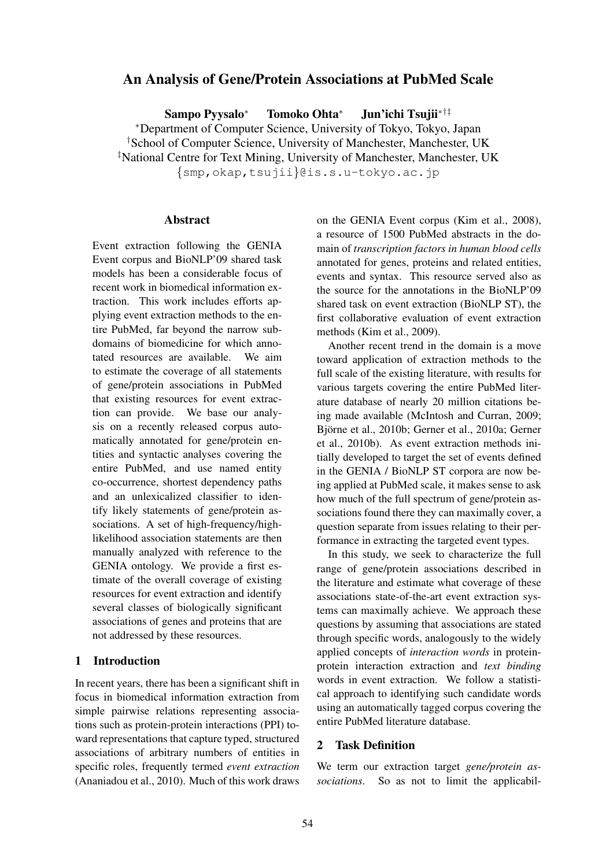# An Analysis of Gene/Protein Associations at PubMed Scale

Sampo Pyysalo<sup>∗</sup> Tomoko Ohta<sup>∗</sup> Jun'ichi Tsujii∗†‡

<sup>∗</sup>Department of Computer Science, University of Tokyo, Tokyo, Japan

†School of Computer Science, University of Manchester, Manchester, UK

‡National Centre for Text Mining, University of Manchester, Manchester, UK

{smp,okap,tsujii}@is.s.u-tokyo.ac.jp

## Abstract

Event extraction following the GENIA Event corpus and BioNLP'09 shared task models has been a considerable focus of recent work in biomedical information extraction. This work includes efforts applying event extraction methods to the entire PubMed, far beyond the narrow subdomains of biomedicine for which annotated resources are available. We aim to estimate the coverage of all statements of gene/protein associations in PubMed that existing resources for event extraction can provide. We base our analysis on a recently released corpus automatically annotated for gene/protein entities and syntactic analyses covering the entire PubMed, and use named entity co-occurrence, shortest dependency paths and an unlexicalized classifier to identify likely statements of gene/protein associations. A set of high-frequency/highlikelihood association statements are then manually analyzed with reference to the GENIA ontology. We provide a first estimate of the overall coverage of existing resources for event extraction and identify several classes of biologically significant associations of genes and proteins that are not addressed by these resources.

# 1 Introduction

In recent years, there has been a significant shift in focus in biomedical information extraction from simple pairwise relations representing associations such as protein-protein interactions (PPI) toward representations that capture typed, structured associations of arbitrary numbers of entities in specific roles, frequently termed *event extraction* (Ananiadou et al., 2010). Much of this work draws

on the GENIA Event corpus (Kim et al., 2008), a resource of 1500 PubMed abstracts in the domain of *transcription factors in human blood cells* annotated for genes, proteins and related entities, events and syntax. This resource served also as the source for the annotations in the BioNLP'09 shared task on event extraction (BioNLP ST), the first collaborative evaluation of event extraction methods (Kim et al., 2009).

Another recent trend in the domain is a move toward application of extraction methods to the full scale of the existing literature, with results for various targets covering the entire PubMed literature database of nearly 20 million citations being made available (McIntosh and Curran, 2009; Björne et al., 2010b; Gerner et al., 2010a; Gerner et al., 2010b). As event extraction methods initially developed to target the set of events defined in the GENIA / BioNLP ST corpora are now being applied at PubMed scale, it makes sense to ask how much of the full spectrum of gene/protein associations found there they can maximally cover, a question separate from issues relating to their performance in extracting the targeted event types.

In this study, we seek to characterize the full range of gene/protein associations described in the literature and estimate what coverage of these associations state-of-the-art event extraction systems can maximally achieve. We approach these questions by assuming that associations are stated through specific words, analogously to the widely applied concepts of *interaction words* in proteinprotein interaction extraction and *text binding* words in event extraction. We follow a statistical approach to identifying such candidate words using an automatically tagged corpus covering the entire PubMed literature database.

#### 2 Task Definition

We term our extraction target *gene/protein associations*. So as not to limit the applicabil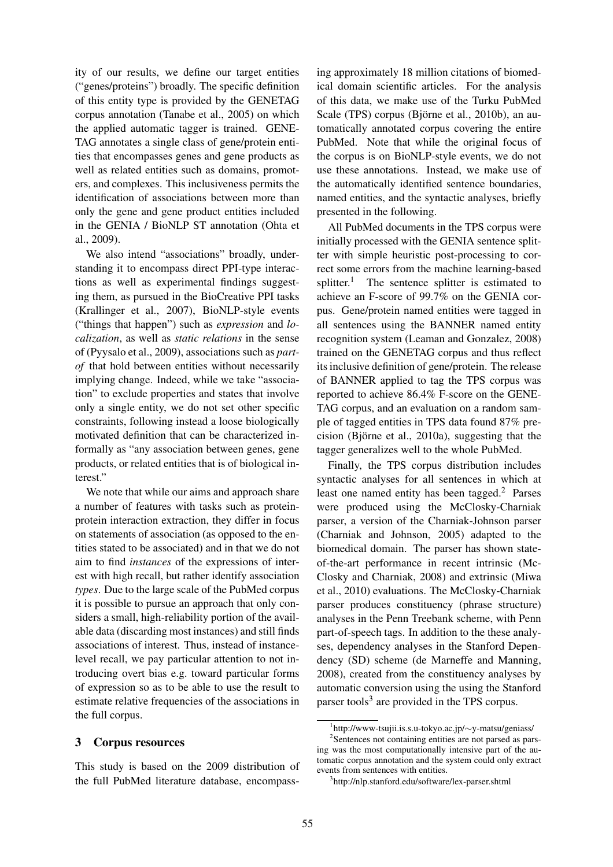ity of our results, we define our target entities ("genes/proteins") broadly. The specific definition of this entity type is provided by the GENETAG corpus annotation (Tanabe et al., 2005) on which the applied automatic tagger is trained. GENE-TAG annotates a single class of gene/protein entities that encompasses genes and gene products as well as related entities such as domains, promoters, and complexes. This inclusiveness permits the identification of associations between more than only the gene and gene product entities included in the GENIA / BioNLP ST annotation (Ohta et al., 2009).

We also intend "associations" broadly, understanding it to encompass direct PPI-type interactions as well as experimental findings suggesting them, as pursued in the BioCreative PPI tasks (Krallinger et al., 2007), BioNLP-style events ("things that happen") such as *expression* and *localization*, as well as *static relations* in the sense of (Pyysalo et al., 2009), associations such as *partof* that hold between entities without necessarily implying change. Indeed, while we take "association" to exclude properties and states that involve only a single entity, we do not set other specific constraints, following instead a loose biologically motivated definition that can be characterized informally as "any association between genes, gene products, or related entities that is of biological interest."

We note that while our aims and approach share a number of features with tasks such as proteinprotein interaction extraction, they differ in focus on statements of association (as opposed to the entities stated to be associated) and in that we do not aim to find *instances* of the expressions of interest with high recall, but rather identify association *types*. Due to the large scale of the PubMed corpus it is possible to pursue an approach that only considers a small, high-reliability portion of the available data (discarding most instances) and still finds associations of interest. Thus, instead of instancelevel recall, we pay particular attention to not introducing overt bias e.g. toward particular forms of expression so as to be able to use the result to estimate relative frequencies of the associations in the full corpus.

#### 3 Corpus resources

This study is based on the 2009 distribution of the full PubMed literature database, encompassing approximately 18 million citations of biomedical domain scientific articles. For the analysis of this data, we make use of the Turku PubMed Scale (TPS) corpus (Björne et al., 2010b), an automatically annotated corpus covering the entire PubMed. Note that while the original focus of the corpus is on BioNLP-style events, we do not use these annotations. Instead, we make use of the automatically identified sentence boundaries, named entities, and the syntactic analyses, briefly presented in the following.

All PubMed documents in the TPS corpus were initially processed with the GENIA sentence splitter with simple heuristic post-processing to correct some errors from the machine learning-based splitter.<sup>1</sup> The sentence splitter is estimated to achieve an F-score of 99.7% on the GENIA corpus. Gene/protein named entities were tagged in all sentences using the BANNER named entity recognition system (Leaman and Gonzalez, 2008) trained on the GENETAG corpus and thus reflect its inclusive definition of gene/protein. The release of BANNER applied to tag the TPS corpus was reported to achieve 86.4% F-score on the GENE-TAG corpus, and an evaluation on a random sample of tagged entities in TPS data found 87% precision (Björne et al.,  $2010a$ ), suggesting that the tagger generalizes well to the whole PubMed.

Finally, the TPS corpus distribution includes syntactic analyses for all sentences in which at least one named entity has been tagged.<sup>2</sup> Parses were produced using the McClosky-Charniak parser, a version of the Charniak-Johnson parser (Charniak and Johnson, 2005) adapted to the biomedical domain. The parser has shown stateof-the-art performance in recent intrinsic (Mc-Closky and Charniak, 2008) and extrinsic (Miwa et al., 2010) evaluations. The McClosky-Charniak parser produces constituency (phrase structure) analyses in the Penn Treebank scheme, with Penn part-of-speech tags. In addition to the these analyses, dependency analyses in the Stanford Dependency (SD) scheme (de Marneffe and Manning, 2008), created from the constituency analyses by automatic conversion using the using the Stanford parser tools<sup>3</sup> are provided in the TPS corpus.

<sup>1</sup> http://www-tsujii.is.s.u-tokyo.ac.jp/∼y-matsu/geniass/

<sup>&</sup>lt;sup>2</sup>Sentences not containing entities are not parsed as parsing was the most computationally intensive part of the automatic corpus annotation and the system could only extract events from sentences with entities.

<sup>3</sup> http://nlp.stanford.edu/software/lex-parser.shtml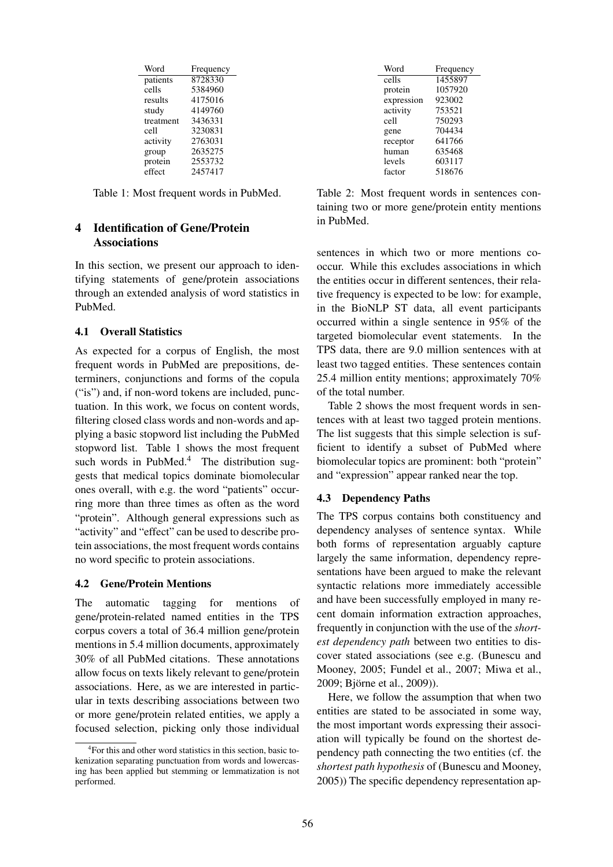| Word      | Frequency |
|-----------|-----------|
| patients  | 8728330   |
| cells     | 5384960   |
| results   | 4175016   |
| study     | 4149760   |
| treatment | 3436331   |
| cell      | 3230831   |
| activity  | 2763031   |
| group     | 2635275   |
| protein   | 2553732   |
| effect    | 2457417   |

Table 1: Most frequent words in PubMed.

# 4 Identification of Gene/Protein **Associations**

In this section, we present our approach to identifying statements of gene/protein associations through an extended analysis of word statistics in PubMed.

## 4.1 Overall Statistics

As expected for a corpus of English, the most frequent words in PubMed are prepositions, determiners, conjunctions and forms of the copula ("is") and, if non-word tokens are included, punctuation. In this work, we focus on content words, filtering closed class words and non-words and applying a basic stopword list including the PubMed stopword list. Table 1 shows the most frequent such words in PubMed.<sup>4</sup> The distribution suggests that medical topics dominate biomolecular ones overall, with e.g. the word "patients" occurring more than three times as often as the word "protein". Although general expressions such as "activity" and "effect" can be used to describe protein associations, the most frequent words contains no word specific to protein associations.

#### 4.2 Gene/Protein Mentions

The automatic tagging for mentions of gene/protein-related named entities in the TPS corpus covers a total of 36.4 million gene/protein mentions in 5.4 million documents, approximately 30% of all PubMed citations. These annotations allow focus on texts likely relevant to gene/protein associations. Here, as we are interested in particular in texts describing associations between two or more gene/protein related entities, we apply a focused selection, picking only those individual

| Word       | Frequency |
|------------|-----------|
| cells      | 1455897   |
| protein    | 1057920   |
| expression | 923002    |
| activity   | 753521    |
| cell       | 750293    |
| gene       | 704434    |
| receptor   | 641766    |
| human      | 635468    |
| levels     | 603117    |
| factor     | 518676    |

Table 2: Most frequent words in sentences containing two or more gene/protein entity mentions in PubMed.

sentences in which two or more mentions cooccur. While this excludes associations in which the entities occur in different sentences, their relative frequency is expected to be low: for example, in the BioNLP ST data, all event participants occurred within a single sentence in 95% of the targeted biomolecular event statements. In the TPS data, there are 9.0 million sentences with at least two tagged entities. These sentences contain 25.4 million entity mentions; approximately 70% of the total number.

Table 2 shows the most frequent words in sentences with at least two tagged protein mentions. The list suggests that this simple selection is sufficient to identify a subset of PubMed where biomolecular topics are prominent: both "protein" and "expression" appear ranked near the top.

## 4.3 Dependency Paths

The TPS corpus contains both constituency and dependency analyses of sentence syntax. While both forms of representation arguably capture largely the same information, dependency representations have been argued to make the relevant syntactic relations more immediately accessible and have been successfully employed in many recent domain information extraction approaches, frequently in conjunction with the use of the *shortest dependency path* between two entities to discover stated associations (see e.g. (Bunescu and Mooney, 2005; Fundel et al., 2007; Miwa et al., 2009; Björne et al., 2009)).

Here, we follow the assumption that when two entities are stated to be associated in some way, the most important words expressing their association will typically be found on the shortest dependency path connecting the two entities (cf. the *shortest path hypothesis* of (Bunescu and Mooney, 2005)) The specific dependency representation ap-

<sup>4</sup> For this and other word statistics in this section, basic tokenization separating punctuation from words and lowercasing has been applied but stemming or lemmatization is not performed.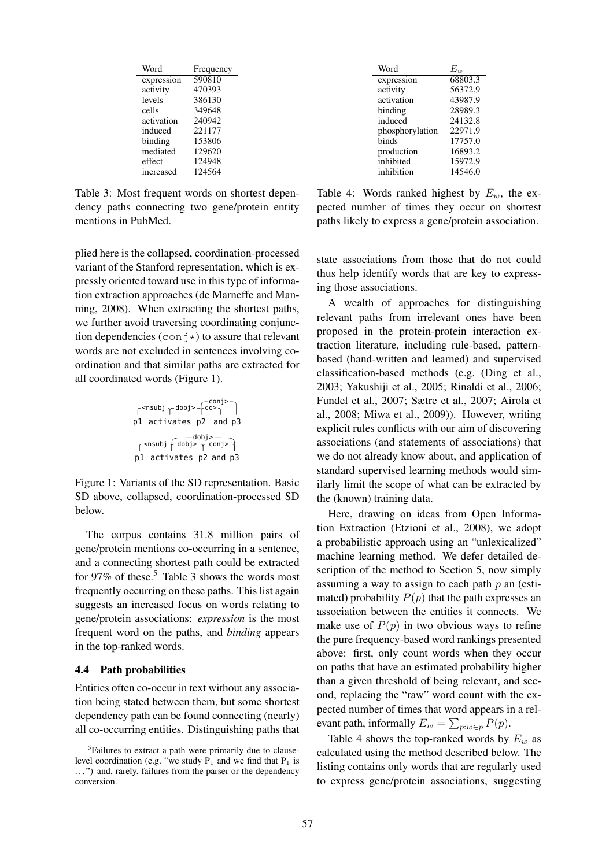| Word       | Frequency |
|------------|-----------|
| expression | 590810    |
| activity   | 470393    |
| levels     | 386130    |
| cells      | 349648    |
| activation | 240942    |
| induced    | 221177    |
| binding    | 153806    |
| mediated   | 129620    |
| effect     | 124948    |
| increased  | 124564    |

Table 3: Most frequent words on shortest dependency paths connecting two gene/protein entity mentions in PubMed.

plied here is the collapsed, coordination-processed variant of the Stanford representation, which is expressly oriented toward use in this type of information extraction approaches (de Marneffe and Manning, 2008). When extracting the shortest paths, we further avoid traversing coordinating conjunction dependencies  $(\text{conj})$  to assure that relevant words are not excluded in sentences involving coordination and that similar paths are extracted for all coordinated words (Figure 1).

$$
\begin{array}{c}\n\uparrow^{} + \stackrel{conj>}{cc>}\uparrow\\
p1 \text{ activates } p2 \text{ and } p3 \\
\uparrow^{} + \stackrel{dobj>}\uparrow^{conj>} \\
p1 \text{ activates } p2 \text{ and } p3\n\end{array}
$$

Figure 1: Variants of the SD representation. Basic SD above, collapsed, coordination-processed SD below.

The corpus contains 31.8 million pairs of gene/protein mentions co-occurring in a sentence, and a connecting shortest path could be extracted for 97% of these.<sup>5</sup> Table 3 shows the words most frequently occurring on these paths. This list again suggests an increased focus on words relating to gene/protein associations: *expression* is the most frequent word on the paths, and *binding* appears in the top-ranked words.

#### 4.4 Path probabilities

Entities often co-occur in text without any association being stated between them, but some shortest dependency path can be found connecting (nearly) all co-occurring entities. Distinguishing paths that

| Word            | $E_{w}$ |
|-----------------|---------|
| expression      | 68803.3 |
| activity        | 56372.9 |
| activation      | 43987.9 |
| binding         | 28989.3 |
| induced         | 24132.8 |
| phosphorylation | 22971.9 |
| binds           | 17757.0 |
| production      | 16893.2 |
| inhibited       | 15972.9 |
| inhibition      | 14546.0 |
|                 |         |

Table 4: Words ranked highest by  $E_w$ , the expected number of times they occur on shortest paths likely to express a gene/protein association.

state associations from those that do not could thus help identify words that are key to expressing those associations.

A wealth of approaches for distinguishing relevant paths from irrelevant ones have been proposed in the protein-protein interaction extraction literature, including rule-based, patternbased (hand-written and learned) and supervised classification-based methods (e.g. (Ding et al., 2003; Yakushiji et al., 2005; Rinaldi et al., 2006; Fundel et al., 2007; Sætre et al., 2007; Airola et al., 2008; Miwa et al., 2009)). However, writing explicit rules conflicts with our aim of discovering associations (and statements of associations) that we do not already know about, and application of standard supervised learning methods would similarly limit the scope of what can be extracted by the (known) training data.

Here, drawing on ideas from Open Information Extraction (Etzioni et al., 2008), we adopt a probabilistic approach using an "unlexicalized" machine learning method. We defer detailed description of the method to Section 5, now simply assuming a way to assign to each path  $p$  an (estimated) probability  $P(p)$  that the path expresses an association between the entities it connects. We make use of  $P(p)$  in two obvious ways to refine the pure frequency-based word rankings presented above: first, only count words when they occur on paths that have an estimated probability higher than a given threshold of being relevant, and second, replacing the "raw" word count with the expected number of times that word appears in a relevant path, informally  $E_w = \sum_{p:w \in p} P(p)$ .

Table 4 shows the top-ranked words by  $E_w$  as calculated using the method described below. The listing contains only words that are regularly used to express gene/protein associations, suggesting

<sup>&</sup>lt;sup>5</sup>Failures to extract a path were primarily due to clauselevel coordination (e.g. "we study  $\overrightarrow{P_1}$  and we find that  $P_1$  is ...") and, rarely, failures from the parser or the dependency conversion.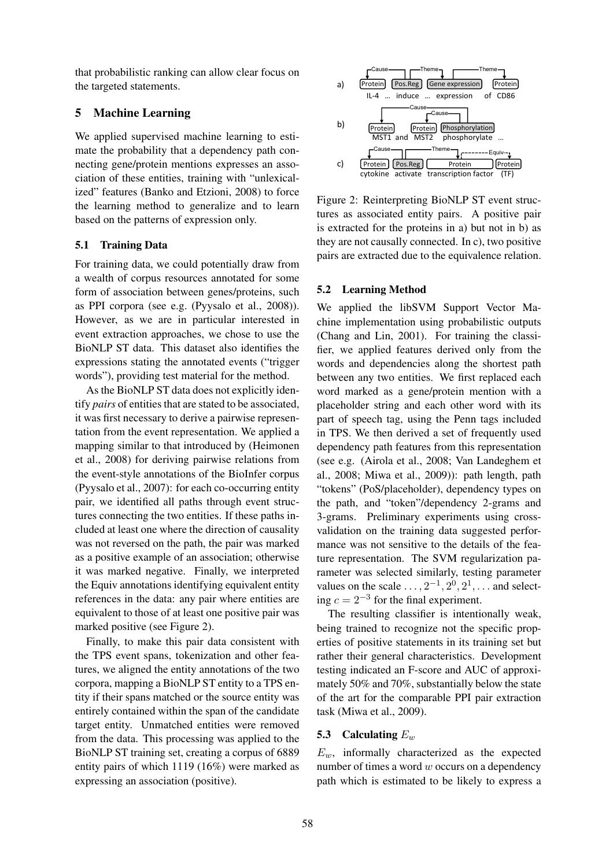that probabilistic ranking can allow clear focus on the targeted statements.

## 5 Machine Learning

We applied supervised machine learning to estimate the probability that a dependency path connecting gene/protein mentions expresses an association of these entities, training with "unlexicalized" features (Banko and Etzioni, 2008) to force the learning method to generalize and to learn based on the patterns of expression only.

# 5.1 Training Data

For training data, we could potentially draw from a wealth of corpus resources annotated for some form of association between genes/proteins, such as PPI corpora (see e.g. (Pyysalo et al., 2008)). However, as we are in particular interested in event extraction approaches, we chose to use the BioNLP ST data. This dataset also identifies the expressions stating the annotated events ("trigger words"), providing test material for the method.

As the BioNLP ST data does not explicitly identify *pairs* of entities that are stated to be associated, it was first necessary to derive a pairwise representation from the event representation. We applied a mapping similar to that introduced by (Heimonen et al., 2008) for deriving pairwise relations from the event-style annotations of the BioInfer corpus (Pyysalo et al., 2007): for each co-occurring entity pair, we identified all paths through event structures connecting the two entities. If these paths included at least one where the direction of causality was not reversed on the path, the pair was marked as a positive example of an association; otherwise it was marked negative. Finally, we interpreted the Equiv annotations identifying equivalent entity references in the data: any pair where entities are equivalent to those of at least one positive pair was marked positive (see Figure 2).

Finally, to make this pair data consistent with the TPS event spans, tokenization and other features, we aligned the entity annotations of the two corpora, mapping a BioNLP ST entity to a TPS entity if their spans matched or the source entity was entirely contained within the span of the candidate target entity. Unmatched entities were removed from the data. This processing was applied to the BioNLP ST training set, creating a corpus of 6889 entity pairs of which 1119 (16%) were marked as expressing an association (positive).



Figure 2: Reinterpreting BioNLP ST event structures as associated entity pairs. A positive pair is extracted for the proteins in a) but not in b) as they are not causally connected. In c), two positive pairs are extracted due to the equivalence relation.

# 5.2 Learning Method

We applied the libSVM Support Vector Machine implementation using probabilistic outputs (Chang and Lin, 2001). For training the classifier, we applied features derived only from the words and dependencies along the shortest path between any two entities. We first replaced each word marked as a gene/protein mention with a placeholder string and each other word with its part of speech tag, using the Penn tags included in TPS. We then derived a set of frequently used dependency path features from this representation (see e.g. (Airola et al., 2008; Van Landeghem et al., 2008; Miwa et al., 2009)): path length, path "tokens" (PoS/placeholder), dependency types on the path, and "token"/dependency 2-grams and 3-grams. Preliminary experiments using crossvalidation on the training data suggested performance was not sensitive to the details of the feature representation. The SVM regularization parameter was selected similarly, testing parameter values on the scale  $\dots$ ,  $2^{-1}$ ,  $2^0$ ,  $2^1$ ,  $\dots$  and selecting  $c = 2^{-3}$  for the final experiment.

The resulting classifier is intentionally weak, being trained to recognize not the specific properties of positive statements in its training set but rather their general characteristics. Development testing indicated an F-score and AUC of approximately 50% and 70%, substantially below the state of the art for the comparable PPI pair extraction task (Miwa et al., 2009).

## 5.3 Calculating  $E_w$

 $E_w$ , informally characterized as the expected number of times a word  $w$  occurs on a dependency path which is estimated to be likely to express a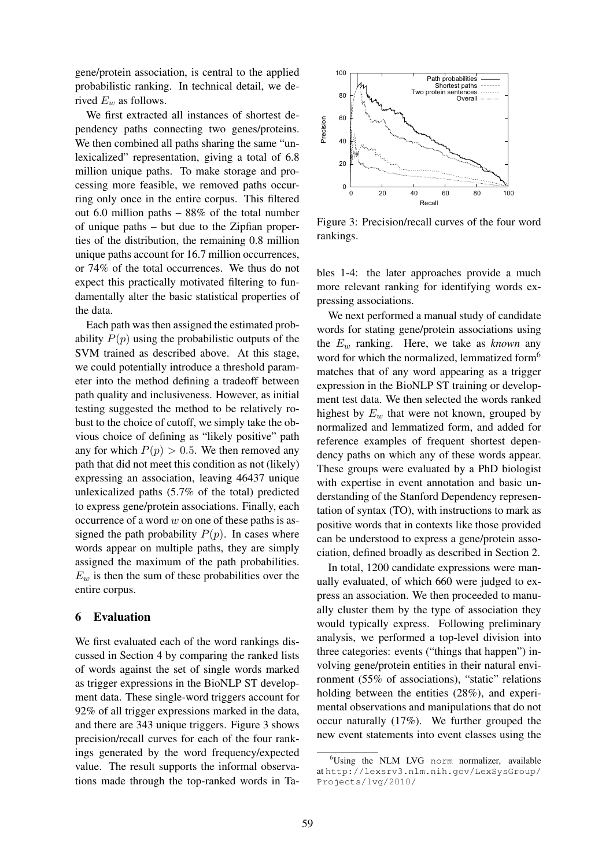gene/protein association, is central to the applied probabilistic ranking. In technical detail, we derived  $E_w$  as follows.

We first extracted all instances of shortest dependency paths connecting two genes/proteins. We then combined all paths sharing the same "unlexicalized" representation, giving a total of 6.8 million unique paths. To make storage and processing more feasible, we removed paths occurring only once in the entire corpus. This filtered out 6.0 million paths – 88% of the total number of unique paths – but due to the Zipfian properties of the distribution, the remaining 0.8 million unique paths account for 16.7 million occurrences, or 74% of the total occurrences. We thus do not expect this practically motivated filtering to fundamentally alter the basic statistical properties of the data.

Each path was then assigned the estimated probability  $P(p)$  using the probabilistic outputs of the SVM trained as described above. At this stage, we could potentially introduce a threshold parameter into the method defining a tradeoff between path quality and inclusiveness. However, as initial testing suggested the method to be relatively robust to the choice of cutoff, we simply take the obvious choice of defining as "likely positive" path any for which  $P(p) > 0.5$ . We then removed any path that did not meet this condition as not (likely) expressing an association, leaving 46437 unique unlexicalized paths (5.7% of the total) predicted to express gene/protein associations. Finally, each occurrence of a word  $w$  on one of these paths is assigned the path probability  $P(p)$ . In cases where words appear on multiple paths, they are simply assigned the maximum of the path probabilities.  $E_w$  is then the sum of these probabilities over the entire corpus.

#### 6 Evaluation

We first evaluated each of the word rankings discussed in Section 4 by comparing the ranked lists of words against the set of single words marked as trigger expressions in the BioNLP ST development data. These single-word triggers account for 92% of all trigger expressions marked in the data, and there are 343 unique triggers. Figure 3 shows precision/recall curves for each of the four rankings generated by the word frequency/expected value. The result supports the informal observations made through the top-ranked words in Ta-



Figure 3: Precision/recall curves of the four word rankings.

bles 1-4: the later approaches provide a much more relevant ranking for identifying words expressing associations.

We next performed a manual study of candidate words for stating gene/protein associations using the E<sup>w</sup> ranking. Here, we take as *known* any word for which the normalized, lemmatized form<sup>6</sup> matches that of any word appearing as a trigger expression in the BioNLP ST training or development test data. We then selected the words ranked highest by  $E_w$  that were not known, grouped by normalized and lemmatized form, and added for reference examples of frequent shortest dependency paths on which any of these words appear. These groups were evaluated by a PhD biologist with expertise in event annotation and basic understanding of the Stanford Dependency representation of syntax (TO), with instructions to mark as positive words that in contexts like those provided can be understood to express a gene/protein association, defined broadly as described in Section 2.

In total, 1200 candidate expressions were manually evaluated, of which 660 were judged to express an association. We then proceeded to manually cluster them by the type of association they would typically express. Following preliminary analysis, we performed a top-level division into three categories: events ("things that happen") involving gene/protein entities in their natural environment (55% of associations), "static" relations holding between the entities (28%), and experimental observations and manipulations that do not occur naturally (17%). We further grouped the new event statements into event classes using the

<sup>6</sup>Using the NLM LVG norm normalizer, available at http://lexsrv3.nlm.nih.gov/LexSysGroup/ Projects/lvg/2010/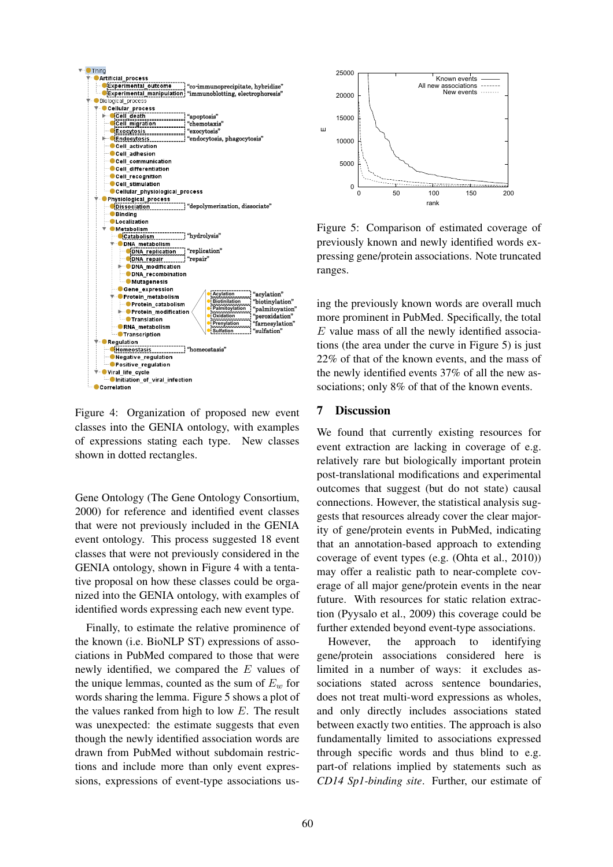

Figure 4: Organization of proposed new event classes into the GENIA ontology, with examples of expressions stating each type. New classes shown in dotted rectangles.

Gene Ontology (The Gene Ontology Consortium, 2000) for reference and identified event classes that were not previously included in the GENIA event ontology. This process suggested 18 event classes that were not previously considered in the GENIA ontology, shown in Figure 4 with a tentative proposal on how these classes could be organized into the GENIA ontology, with examples of identified words expressing each new event type.

Finally, to estimate the relative prominence of the known (i.e. BioNLP ST) expressions of associations in PubMed compared to those that were newly identified, we compared the E values of the unique lemmas, counted as the sum of  $E_w$  for words sharing the lemma. Figure 5 shows a plot of the values ranked from high to low  $E$ . The result was unexpected: the estimate suggests that even though the newly identified association words are drawn from PubMed without subdomain restrictions and include more than only event expressions, expressions of event-type associations us-



Figure 5: Comparison of estimated coverage of previously known and newly identified words expressing gene/protein associations. Note truncated ranges.

ing the previously known words are overall much more prominent in PubMed. Specifically, the total  $E$  value mass of all the newly identified associations (the area under the curve in Figure 5) is just 22% of that of the known events, and the mass of the newly identified events 37% of all the new associations; only 8% of that of the known events.

## 7 Discussion

We found that currently existing resources for event extraction are lacking in coverage of e.g. relatively rare but biologically important protein post-translational modifications and experimental outcomes that suggest (but do not state) causal connections. However, the statistical analysis suggests that resources already cover the clear majority of gene/protein events in PubMed, indicating that an annotation-based approach to extending coverage of event types (e.g. (Ohta et al., 2010)) may offer a realistic path to near-complete coverage of all major gene/protein events in the near future. With resources for static relation extraction (Pyysalo et al., 2009) this coverage could be further extended beyond event-type associations.

However, the approach to identifying gene/protein associations considered here is limited in a number of ways: it excludes associations stated across sentence boundaries, does not treat multi-word expressions as wholes, and only directly includes associations stated between exactly two entities. The approach is also fundamentally limited to associations expressed through specific words and thus blind to e.g. part-of relations implied by statements such as *CD14 Sp1-binding site*. Further, our estimate of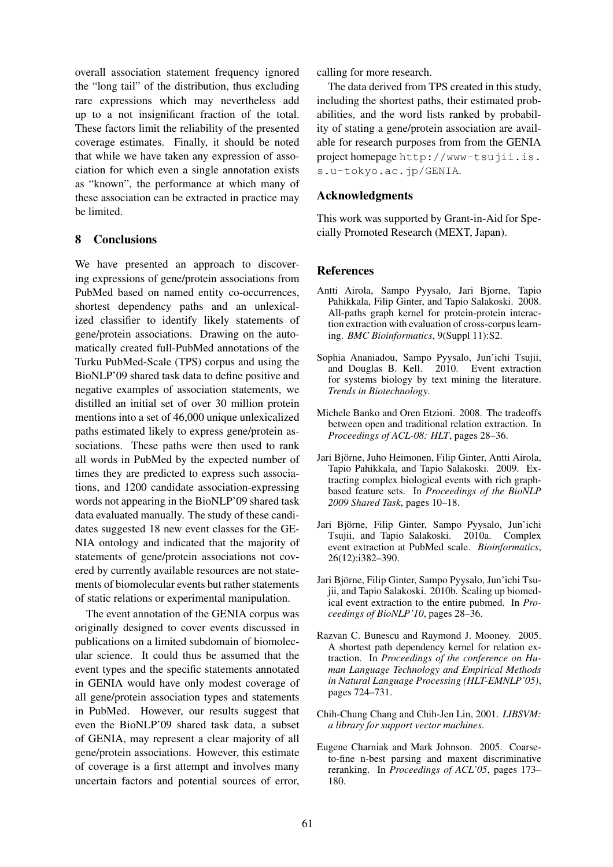overall association statement frequency ignored the "long tail" of the distribution, thus excluding rare expressions which may nevertheless add up to a not insignificant fraction of the total. These factors limit the reliability of the presented coverage estimates. Finally, it should be noted that while we have taken any expression of association for which even a single annotation exists as "known", the performance at which many of these association can be extracted in practice may be limited.

#### 8 Conclusions

We have presented an approach to discovering expressions of gene/protein associations from PubMed based on named entity co-occurrences, shortest dependency paths and an unlexicalized classifier to identify likely statements of gene/protein associations. Drawing on the automatically created full-PubMed annotations of the Turku PubMed-Scale (TPS) corpus and using the BioNLP'09 shared task data to define positive and negative examples of association statements, we distilled an initial set of over 30 million protein mentions into a set of 46,000 unique unlexicalized paths estimated likely to express gene/protein associations. These paths were then used to rank all words in PubMed by the expected number of times they are predicted to express such associations, and 1200 candidate association-expressing words not appearing in the BioNLP'09 shared task data evaluated manually. The study of these candidates suggested 18 new event classes for the GE-NIA ontology and indicated that the majority of statements of gene/protein associations not covered by currently available resources are not statements of biomolecular events but rather statements of static relations or experimental manipulation.

The event annotation of the GENIA corpus was originally designed to cover events discussed in publications on a limited subdomain of biomolecular science. It could thus be assumed that the event types and the specific statements annotated in GENIA would have only modest coverage of all gene/protein association types and statements in PubMed. However, our results suggest that even the BioNLP'09 shared task data, a subset of GENIA, may represent a clear majority of all gene/protein associations. However, this estimate of coverage is a first attempt and involves many uncertain factors and potential sources of error, calling for more research.

The data derived from TPS created in this study, including the shortest paths, their estimated probabilities, and the word lists ranked by probability of stating a gene/protein association are available for research purposes from from the GENIA project homepage http://www-tsujii.is. s.u-tokyo.ac.jp/GENIA.

## Acknowledgments

This work was supported by Grant-in-Aid for Specially Promoted Research (MEXT, Japan).

#### References

- Antti Airola, Sampo Pyysalo, Jari Bjorne, Tapio Pahikkala, Filip Ginter, and Tapio Salakoski. 2008. All-paths graph kernel for protein-protein interaction extraction with evaluation of cross-corpus learning. *BMC Bioinformatics*, 9(Suppl 11):S2.
- Sophia Ananiadou, Sampo Pyysalo, Jun'ichi Tsujii, and Douglas B. Kell. 2010. Event extraction for systems biology by text mining the literature. *Trends in Biotechnology*.
- Michele Banko and Oren Etzioni. 2008. The tradeoffs between open and traditional relation extraction. In *Proceedings of ACL-08: HLT*, pages 28–36.
- Jari Björne, Juho Heimonen, Filip Ginter, Antti Airola, Tapio Pahikkala, and Tapio Salakoski. 2009. Extracting complex biological events with rich graphbased feature sets. In *Proceedings of the BioNLP 2009 Shared Task*, pages 10–18.
- Jari Björne, Filip Ginter, Sampo Pyysalo, Jun'ichi Tsujii, and Tapio Salakoski. 2010a. Complex event extraction at PubMed scale. *Bioinformatics*, 26(12):i382–390.
- Jari Björne, Filip Ginter, Sampo Pyysalo, Jun'ichi Tsujii, and Tapio Salakoski. 2010b. Scaling up biomedical event extraction to the entire pubmed. In *Proceedings of BioNLP'10*, pages 28–36.
- Razvan C. Bunescu and Raymond J. Mooney. 2005. A shortest path dependency kernel for relation extraction. In *Proceedings of the conference on Human Language Technology and Empirical Methods in Natural Language Processing (HLT-EMNLP'05)*, pages 724–731.
- Chih-Chung Chang and Chih-Jen Lin, 2001. *LIBSVM: a library for support vector machines*.
- Eugene Charniak and Mark Johnson. 2005. Coarseto-fine n-best parsing and maxent discriminative reranking. In *Proceedings of ACL'05*, pages 173– 180.